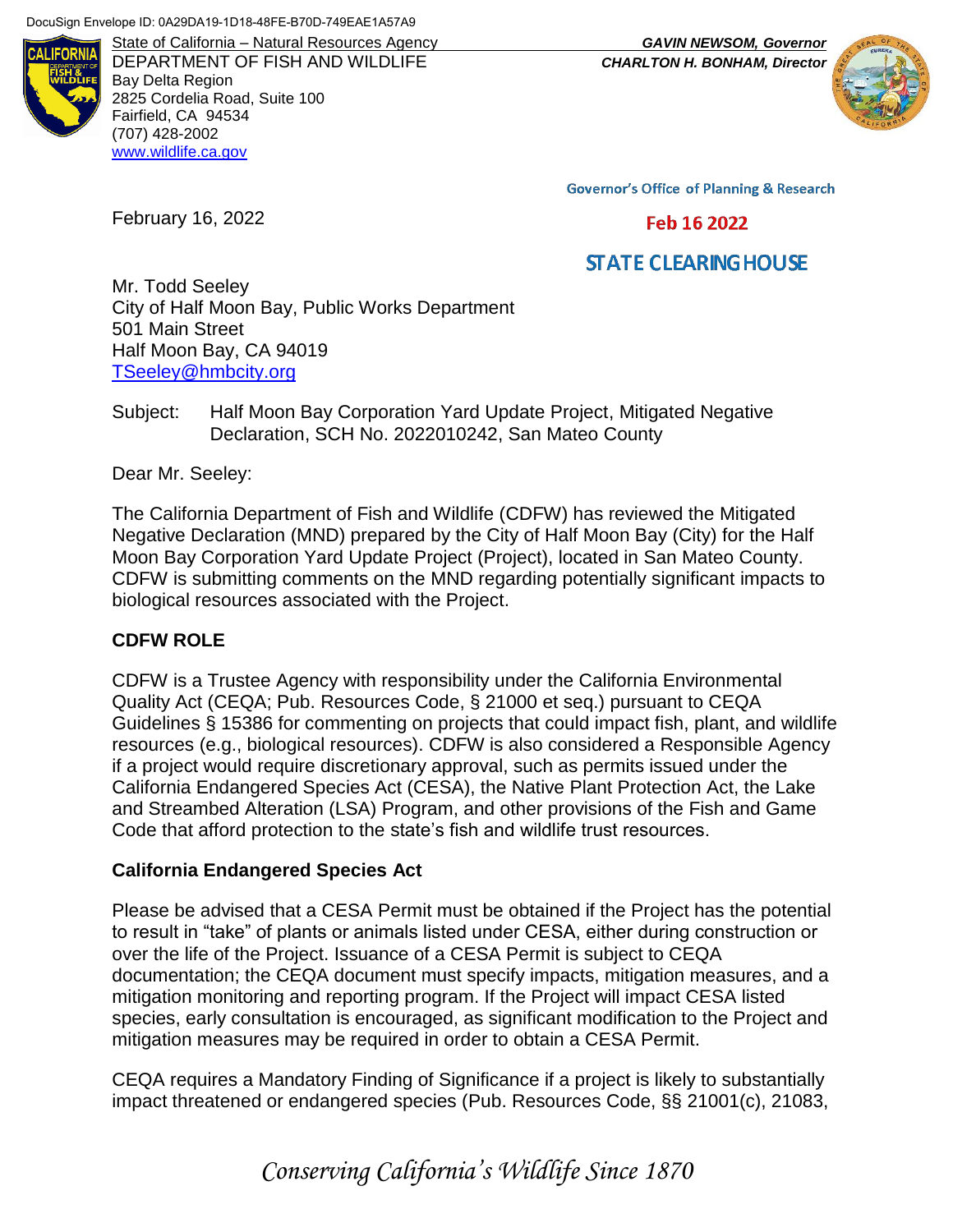

DEPARTMENT OF FISH AND WILDLIFE *CHARLTON H. BONHAM, Director* Bay Delta Region 2825 Cordelia Road, Suite 100 Fairfield, CA 94534 (707) 428-2002 [www.wildlife.ca.gov](http://www.wildlife.ca.gov/)

State of California – Natural Resources Agency *GAVIN NEWSOM, Governor*



**Governor's Office of Planning & Research** 

#### Feb 16 2022

# **STATE CLEARING HOUSE**

Mr. Todd Seeley City of Half Moon Bay, Public Works Department 501 Main Street Half Moon Bay, CA 94019 [TSeeley@hmbcity.org](mailto:TSeeley@hmbcity.org)

Subject: Half Moon Bay Corporation Yard Update Project, Mitigated Negative Declaration, SCH No. 2022010242, San Mateo County

Dear Mr. Seeley:

February 16, 2022

The California Department of Fish and Wildlife (CDFW) has reviewed the Mitigated Negative Declaration (MND) prepared by the City of Half Moon Bay (City) for the Half Moon Bay Corporation Yard Update Project (Project), located in San Mateo County. CDFW is submitting comments on the MND regarding potentially significant impacts to biological resources associated with the Project.

### **CDFW ROLE**

CDFW is a Trustee Agency with responsibility under the California Environmental Quality Act (CEQA; Pub. Resources Code, § 21000 et seq.) pursuant to CEQA Guidelines § 15386 for commenting on projects that could impact fish, plant, and wildlife resources (e.g., biological resources). CDFW is also considered a Responsible Agency if a project would require discretionary approval, such as permits issued under the California Endangered Species Act (CESA), the Native Plant Protection Act, the Lake and Streambed Alteration (LSA) Program, and other provisions of the Fish and Game Code that afford protection to the state's fish and wildlife trust resources.

### **California Endangered Species Act**

Please be advised that a CESA Permit must be obtained if the Project has the potential to result in "take" of plants or animals listed under CESA, either during construction or over the life of the Project. Issuance of a CESA Permit is subject to CEQA documentation; the CEQA document must specify impacts, mitigation measures, and a mitigation monitoring and reporting program. If the Project will impact CESA listed species, early consultation is encouraged, as significant modification to the Project and mitigation measures may be required in order to obtain a CESA Permit.

CEQA requires a Mandatory Finding of Significance if a project is likely to substantially impact threatened or endangered species (Pub. Resources Code, §§ 21001(c), 21083,

*Conserving California's Wildlife Since 1870*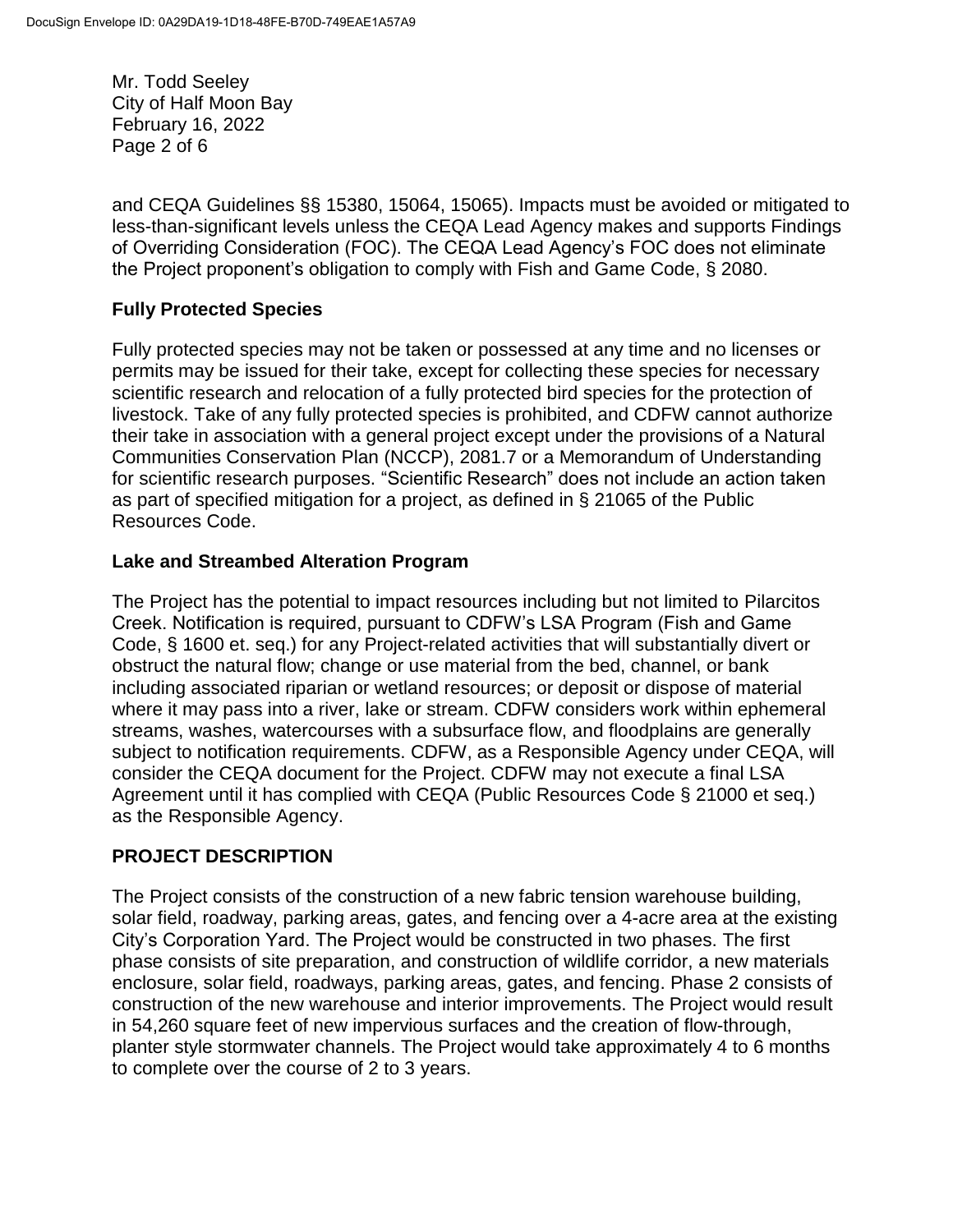Mr. Todd Seeley City of Half Moon Bay February 16, 2022 Page 2 of 6

and CEQA Guidelines §§ 15380, 15064, 15065). Impacts must be avoided or mitigated to less-than-significant levels unless the CEQA Lead Agency makes and supports Findings of Overriding Consideration (FOC). The CEQA Lead Agency's FOC does not eliminate the Project proponent's obligation to comply with Fish and Game Code, § 2080.

### **Fully Protected Species**

Fully protected species may not be taken or possessed at any time and no licenses or permits may be issued for their take, except for collecting these species for necessary scientific research and relocation of a fully protected bird species for the protection of livestock. Take of any fully protected species is prohibited, and CDFW cannot authorize their take in association with a general project except under the provisions of a Natural Communities Conservation Plan (NCCP), 2081.7 or a Memorandum of Understanding for scientific research purposes. "Scientific Research" does not include an action taken as part of specified mitigation for a project, as defined in § 21065 of the Public Resources Code.

### **Lake and Streambed Alteration Program**

The Project has the potential to impact resources including but not limited to Pilarcitos Creek. Notification is required, pursuant to CDFW's LSA Program (Fish and Game Code, § 1600 et. seq.) for any Project-related activities that will substantially divert or obstruct the natural flow; change or use material from the bed, channel, or bank including associated riparian or wetland resources; or deposit or dispose of material where it may pass into a river, lake or stream. CDFW considers work within ephemeral streams, washes, watercourses with a subsurface flow, and floodplains are generally subject to notification requirements. CDFW, as a Responsible Agency under CEQA, will consider the CEQA document for the Project. CDFW may not execute a final LSA Agreement until it has complied with CEQA (Public Resources Code § 21000 et seq.) as the Responsible Agency.

# **PROJECT DESCRIPTION**

The Project consists of the construction of a new fabric tension warehouse building, solar field, roadway, parking areas, gates, and fencing over a 4-acre area at the existing City's Corporation Yard. The Project would be constructed in two phases. The first phase consists of site preparation, and construction of wildlife corridor, a new materials enclosure, solar field, roadways, parking areas, gates, and fencing. Phase 2 consists of construction of the new warehouse and interior improvements. The Project would result in 54,260 square feet of new impervious surfaces and the creation of flow-through, planter style stormwater channels. The Project would take approximately 4 to 6 months to complete over the course of 2 to 3 years.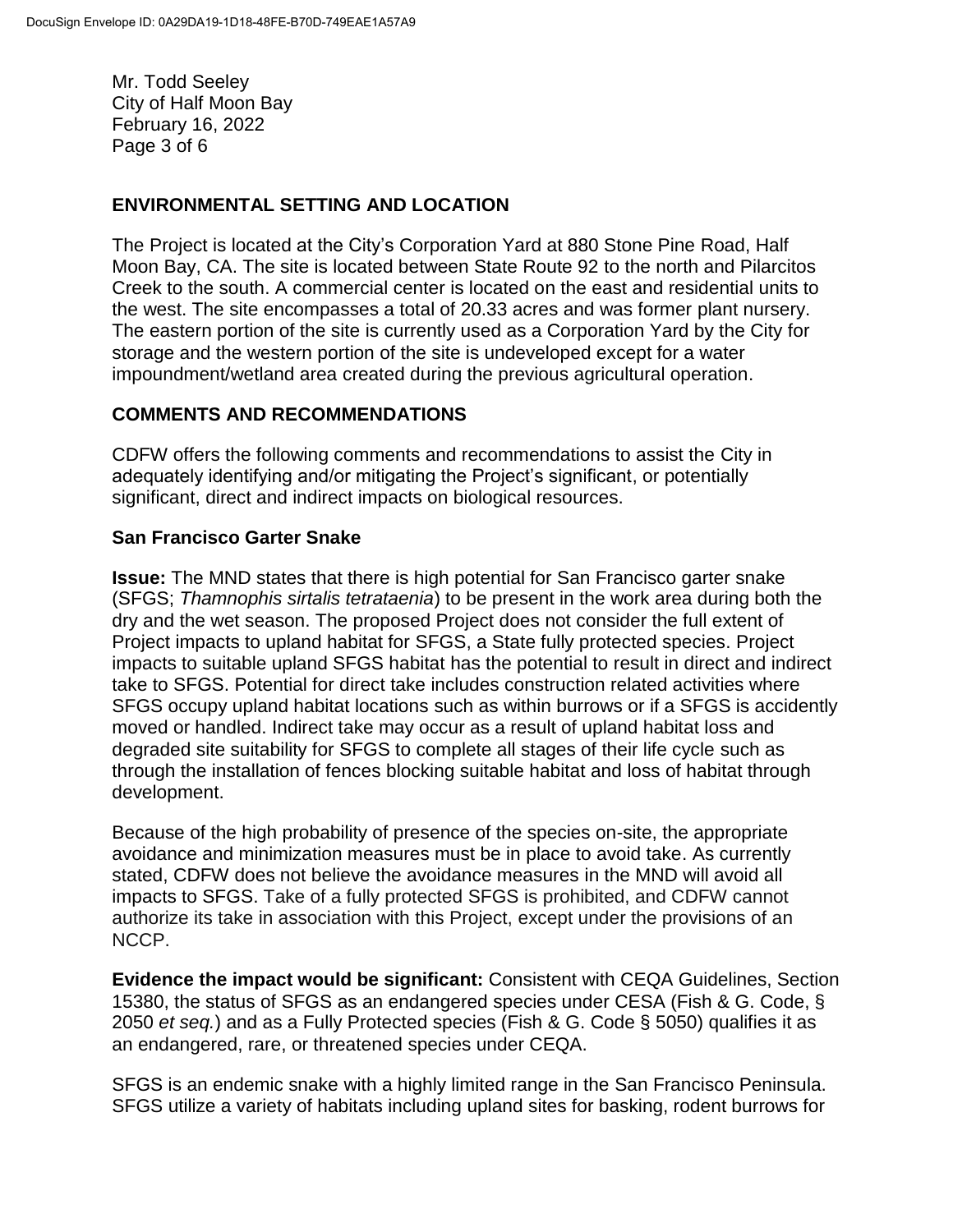Mr. Todd Seeley City of Half Moon Bay February 16, 2022 Page 3 of 6

## **ENVIRONMENTAL SETTING AND LOCATION**

The Project is located at the City's Corporation Yard at 880 Stone Pine Road, Half Moon Bay, CA. The site is located between State Route 92 to the north and Pilarcitos Creek to the south. A commercial center is located on the east and residential units to the west. The site encompasses a total of 20.33 acres and was former plant nursery. The eastern portion of the site is currently used as a Corporation Yard by the City for storage and the western portion of the site is undeveloped except for a water impoundment/wetland area created during the previous agricultural operation.

### **COMMENTS AND RECOMMENDATIONS**

CDFW offers the following comments and recommendations to assist the City in adequately identifying and/or mitigating the Project's significant, or potentially significant, direct and indirect impacts on biological resources.

### **San Francisco Garter Snake**

**Issue:** The MND states that there is high potential for San Francisco garter snake (SFGS; *Thamnophis sirtalis tetrataenia*) to be present in the work area during both the dry and the wet season. The proposed Project does not consider the full extent of Project impacts to upland habitat for SFGS, a State fully protected species. Project impacts to suitable upland SFGS habitat has the potential to result in direct and indirect take to SFGS. Potential for direct take includes construction related activities where SFGS occupy upland habitat locations such as within burrows or if a SFGS is accidently moved or handled. Indirect take may occur as a result of upland habitat loss and degraded site suitability for SFGS to complete all stages of their life cycle such as through the installation of fences blocking suitable habitat and loss of habitat through development.

Because of the high probability of presence of the species on-site, the appropriate avoidance and minimization measures must be in place to avoid take. As currently stated, CDFW does not believe the avoidance measures in the MND will avoid all impacts to SFGS. Take of a fully protected SFGS is prohibited, and CDFW cannot authorize its take in association with this Project, except under the provisions of an NCCP.

**Evidence the impact would be significant:** Consistent with CEQA Guidelines, Section 15380, the status of SFGS as an endangered species under CESA (Fish & G. Code, § 2050 *et seq.*) and as a Fully Protected species (Fish & G. Code § 5050) qualifies it as an endangered, rare, or threatened species under CEQA.

SFGS is an endemic snake with a highly limited range in the San Francisco Peninsula. SFGS utilize a variety of habitats including upland sites for basking, rodent burrows for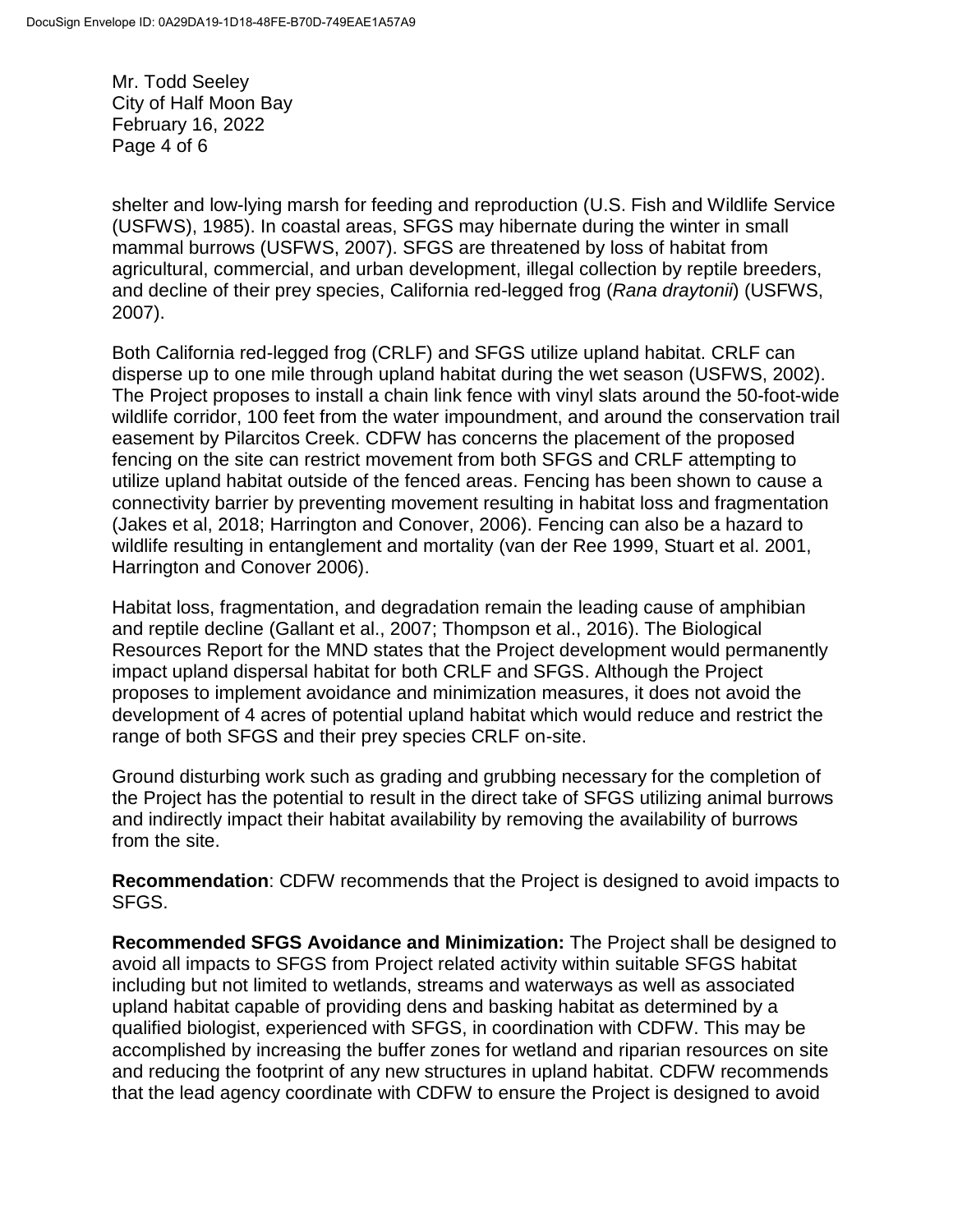Mr. Todd Seeley City of Half Moon Bay February 16, 2022 Page 4 of 6

shelter and low-lying marsh for feeding and reproduction (U.S. Fish and Wildlife Service (USFWS), 1985). In coastal areas, SFGS may hibernate during the winter in small mammal burrows (USFWS, 2007). SFGS are threatened by loss of habitat from agricultural, commercial, and urban development, illegal collection by reptile breeders, and decline of their prey species, California red-legged frog (*Rana draytonii*) (USFWS, 2007).

Both California red-legged frog (CRLF) and SFGS utilize upland habitat. CRLF can disperse up to one mile through upland habitat during the wet season (USFWS, 2002). The Project proposes to install a chain link fence with vinyl slats around the 50-foot-wide wildlife corridor, 100 feet from the water impoundment, and around the conservation trail easement by Pilarcitos Creek. CDFW has concerns the placement of the proposed fencing on the site can restrict movement from both SFGS and CRLF attempting to utilize upland habitat outside of the fenced areas. Fencing has been shown to cause a connectivity barrier by preventing movement resulting in habitat loss and fragmentation (Jakes et al, 2018; Harrington and Conover, 2006). Fencing can also be a hazard to wildlife resulting in entanglement and mortality (van der Ree 1999, Stuart et al. 2001, Harrington and Conover 2006).

Habitat loss, fragmentation, and degradation remain the leading cause of amphibian and reptile decline (Gallant et al., 2007; Thompson et al., 2016). The Biological Resources Report for the MND states that the Project development would permanently impact upland dispersal habitat for both CRLF and SFGS. Although the Project proposes to implement avoidance and minimization measures, it does not avoid the development of 4 acres of potential upland habitat which would reduce and restrict the range of both SFGS and their prey species CRLF on-site.

Ground disturbing work such as grading and grubbing necessary for the completion of the Project has the potential to result in the direct take of SFGS utilizing animal burrows and indirectly impact their habitat availability by removing the availability of burrows from the site.

**Recommendation**: CDFW recommends that the Project is designed to avoid impacts to SFGS.

**Recommended SFGS Avoidance and Minimization:** The Project shall be designed to avoid all impacts to SFGS from Project related activity within suitable SFGS habitat including but not limited to wetlands, streams and waterways as well as associated upland habitat capable of providing dens and basking habitat as determined by a qualified biologist, experienced with SFGS, in coordination with CDFW. This may be accomplished by increasing the buffer zones for wetland and riparian resources on site and reducing the footprint of any new structures in upland habitat. CDFW recommends that the lead agency coordinate with CDFW to ensure the Project is designed to avoid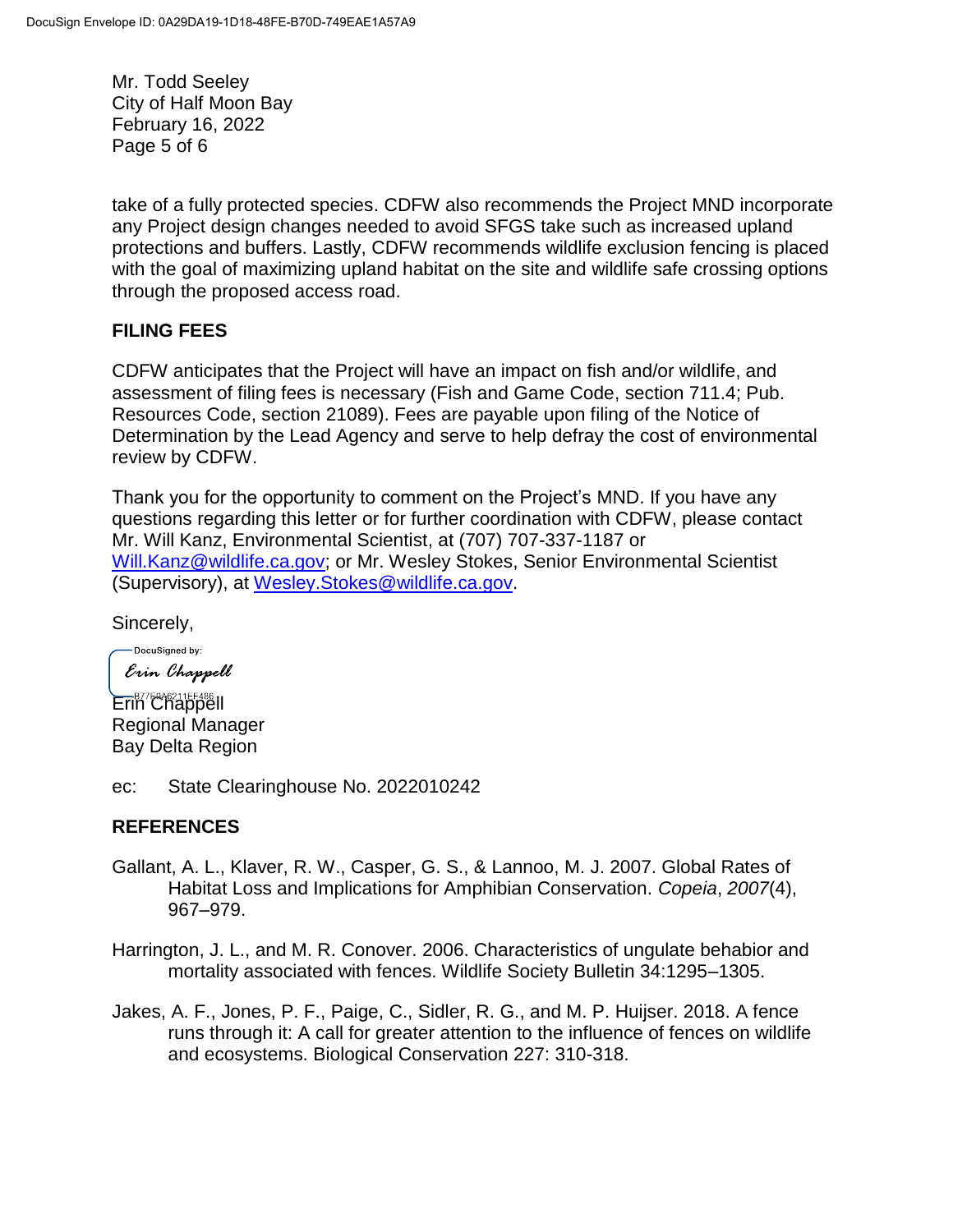Mr. Todd Seeley City of Half Moon Bay February 16, 2022 Page 5 of 6

take of a fully protected species. CDFW also recommends the Project MND incorporate any Project design changes needed to avoid SFGS take such as increased upland protections and buffers. Lastly, CDFW recommends wildlife exclusion fencing is placed with the goal of maximizing upland habitat on the site and wildlife safe crossing options through the proposed access road.

#### **FILING FEES**

CDFW anticipates that the Project will have an impact on fish and/or wildlife, and assessment of filing fees is necessary (Fish and Game Code, section 711.4; Pub. Resources Code, section 21089). Fees are payable upon filing of the Notice of Determination by the Lead Agency and serve to help defray the cost of environmental review by CDFW.

Thank you for the opportunity to comment on the Project's MND. If you have any questions regarding this letter or for further coordination with CDFW, please contact Mr. Will Kanz, Environmental Scientist, at (707) 707-337-1187 or [Will.Kanz@wildlife.ca.gov;](mailto:Will.Kanz@wildlife.ca.gov) or Mr. Wesley Stokes, Senior Environmental Scientist (Supervisory), at [Wesley.Stokes@wildlife.ca.gov.](mailto:Wesley.Stokes@wildlife.ca.gov)

Sincerely,

-DocuSigned by: Erin Chappell

Erin Chappell Regional Manager Bay Delta Region

ec: State Clearinghouse No. 2022010242

### **REFERENCES**

- Gallant, A. L., Klaver, R. W., Casper, G. S., & Lannoo, M. J. 2007. Global Rates of Habitat Loss and Implications for Amphibian Conservation. *Copeia*, *2007*(4), 967–979.
- Harrington, J. L., and M. R. Conover. 2006. Characteristics of ungulate behabior and mortality associated with fences. Wildlife Society Bulletin 34:1295–1305.
- Jakes, A. F., Jones, P. F., Paige, C., Sidler, R. G., and M. P. Huijser. 2018. A fence runs through it: A call for greater attention to the influence of fences on wildlife and ecosystems. Biological Conservation 227: 310-318.